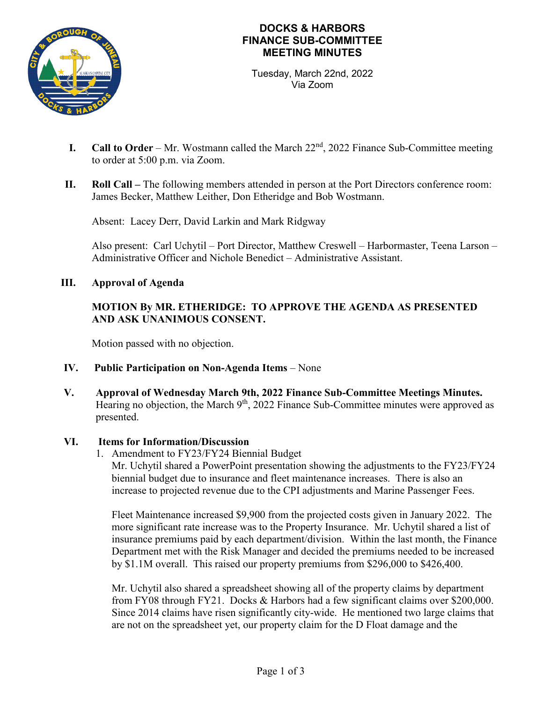

# **DOCKS & HARBORS FINANCE SUB-COMMITTEE MEETING MINUTES**

Tuesday, March 22nd, 2022 Via Zoom

- **I.** Call to Order Mr. Wostmann called the March 22<sup>nd</sup>, 2022 Finance Sub-Committee meeting to order at 5:00 p.m. via Zoom.
- **II. Roll Call –** The following members attended in person at the Port Directors conference room: James Becker, Matthew Leither, Don Etheridge and Bob Wostmann.

Absent: Lacey Derr, David Larkin and Mark Ridgway

Also present: Carl Uchytil – Port Director, Matthew Creswell – Harbormaster, Teena Larson – Administrative Officer and Nichole Benedict – Administrative Assistant.

### **III. Approval of Agenda**

# **MOTION By MR. ETHERIDGE: TO APPROVE THE AGENDA AS PRESENTED AND ASK UNANIMOUS CONSENT.**

Motion passed with no objection.

- **IV. Public Participation on Non-Agenda Items** None
- **V. Approval of Wednesday March 9th, 2022 Finance Sub-Committee Meetings Minutes.** Hearing no objection, the March 9<sup>th</sup>, 2022 Finance Sub-Committee minutes were approved as presented.

#### **VI. Items for Information/Discussion**

1. Amendment to FY23/FY24 Biennial Budget

Mr. Uchytil shared a PowerPoint presentation showing the adjustments to the FY23/FY24 biennial budget due to insurance and fleet maintenance increases. There is also an increase to projected revenue due to the CPI adjustments and Marine Passenger Fees.

Fleet Maintenance increased \$9,900 from the projected costs given in January 2022. The more significant rate increase was to the Property Insurance. Mr. Uchytil shared a list of insurance premiums paid by each department/division. Within the last month, the Finance Department met with the Risk Manager and decided the premiums needed to be increased by \$1.1M overall. This raised our property premiums from \$296,000 to \$426,400.

Mr. Uchytil also shared a spreadsheet showing all of the property claims by department from FY08 through FY21. Docks & Harbors had a few significant claims over \$200,000. Since 2014 claims have risen significantly city-wide. He mentioned two large claims that are not on the spreadsheet yet, our property claim for the D Float damage and the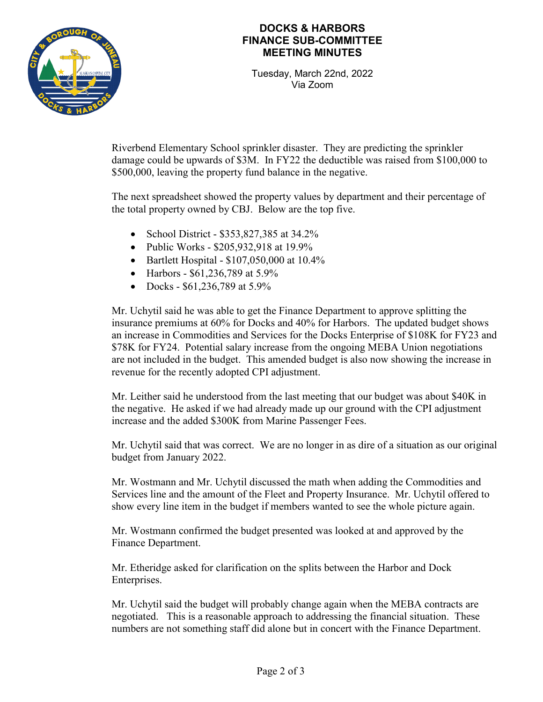

## **DOCKS & HARBORS FINANCE SUB-COMMITTEE MEETING MINUTES**

Tuesday, March 22nd, 2022 Via Zoom

Riverbend Elementary School sprinkler disaster. They are predicting the sprinkler damage could be upwards of \$3M. In FY22 the deductible was raised from \$100,000 to \$500,000, leaving the property fund balance in the negative.

The next spreadsheet showed the property values by department and their percentage of the total property owned by CBJ. Below are the top five.

- School District \$353,827,385 at 34.2%
- Public Works \$205,932,918 at 19.9%
- Bartlett Hospital \$107,050,000 at 10.4%
- Harbors \$61,236,789 at 5.9%
- Docks \$61,236,789 at 5.9%

Mr. Uchytil said he was able to get the Finance Department to approve splitting the insurance premiums at 60% for Docks and 40% for Harbors. The updated budget shows an increase in Commodities and Services for the Docks Enterprise of \$108K for FY23 and \$78K for FY24. Potential salary increase from the ongoing MEBA Union negotiations are not included in the budget. This amended budget is also now showing the increase in revenue for the recently adopted CPI adjustment.

Mr. Leither said he understood from the last meeting that our budget was about \$40K in the negative. He asked if we had already made up our ground with the CPI adjustment increase and the added \$300K from Marine Passenger Fees.

Mr. Uchytil said that was correct. We are no longer in as dire of a situation as our original budget from January 2022.

Mr. Wostmann and Mr. Uchytil discussed the math when adding the Commodities and Services line and the amount of the Fleet and Property Insurance. Mr. Uchytil offered to show every line item in the budget if members wanted to see the whole picture again.

Mr. Wostmann confirmed the budget presented was looked at and approved by the Finance Department.

Mr. Etheridge asked for clarification on the splits between the Harbor and Dock Enterprises.

Mr. Uchytil said the budget will probably change again when the MEBA contracts are negotiated. This is a reasonable approach to addressing the financial situation. These numbers are not something staff did alone but in concert with the Finance Department.